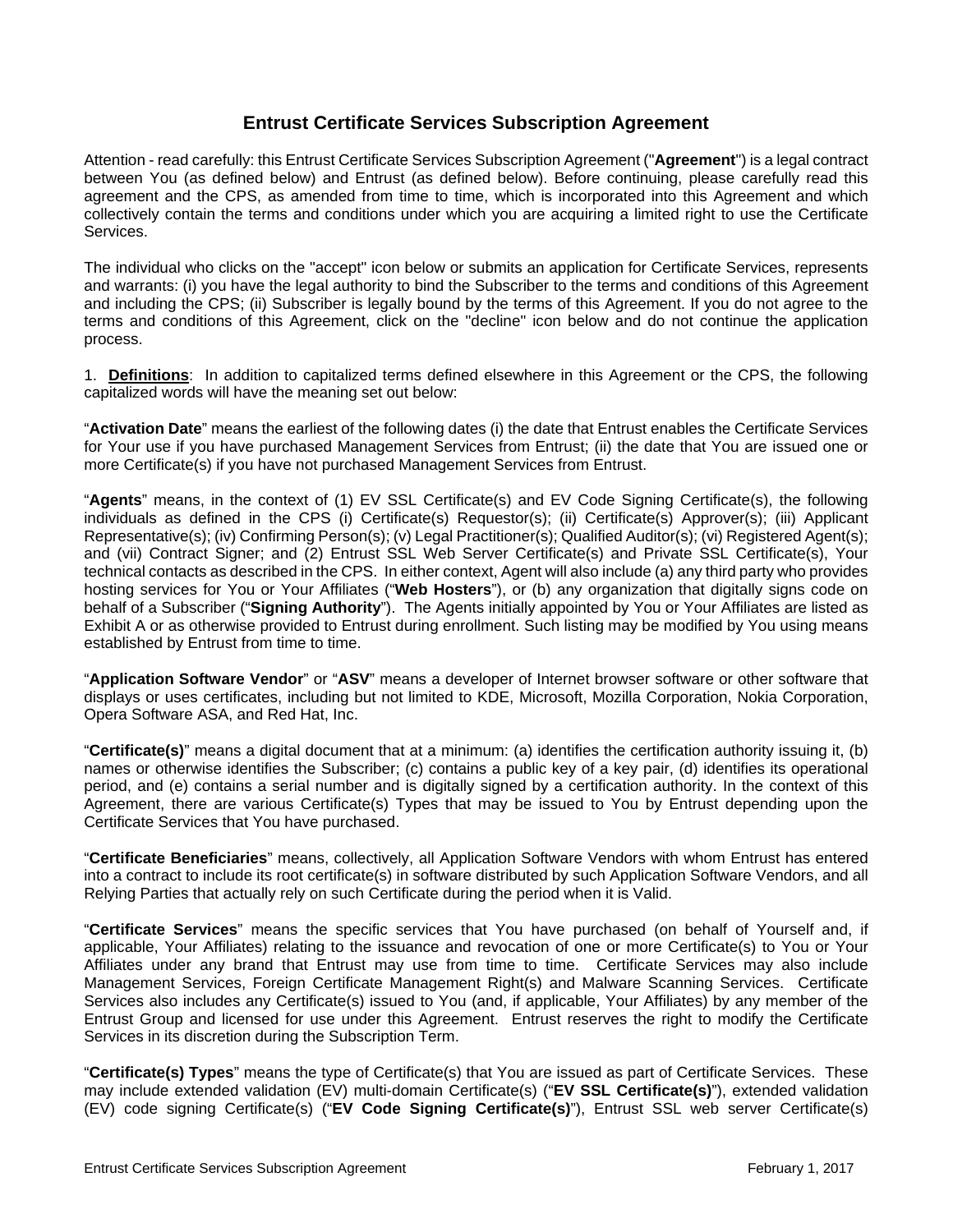# **Entrust Certificate Services Subscription Agreement**

Attention - read carefully: this Entrust Certificate Services Subscription Agreement ("**Agreement**") is a legal contract between You (as defined below) and Entrust (as defined below). Before continuing, please carefully read this agreement and the CPS, as amended from time to time, which is incorporated into this Agreement and which collectively contain the terms and conditions under which you are acquiring a limited right to use the Certificate **Services** 

The individual who clicks on the "accept" icon below or submits an application for Certificate Services, represents and warrants: (i) you have the legal authority to bind the Subscriber to the terms and conditions of this Agreement and including the CPS; (ii) Subscriber is legally bound by the terms of this Agreement. If you do not agree to the terms and conditions of this Agreement, click on the "decline" icon below and do not continue the application process.

1. **Definitions**: In addition to capitalized terms defined elsewhere in this Agreement or the CPS, the following capitalized words will have the meaning set out below:

"**Activation Date**" means the earliest of the following dates (i) the date that Entrust enables the Certificate Services for Your use if you have purchased Management Services from Entrust; (ii) the date that You are issued one or more Certificate(s) if you have not purchased Management Services from Entrust.

"**Agents**" means, in the context of (1) EV SSL Certificate(s) and EV Code Signing Certificate(s), the following individuals as defined in the CPS (i) Certificate(s) Requestor(s); (ii) Certificate(s) Approver(s); (iii) Applicant Representative(s); (iv) Confirming Person(s); (v) Legal Practitioner(s); Qualified Auditor(s); (vi) Registered Agent(s); and (vii) Contract Signer; and (2) Entrust SSL Web Server Certificate(s) and Private SSL Certificate(s), Your technical contacts as described in the CPS. In either context, Agent will also include (a) any third party who provides hosting services for You or Your Affiliates ("**Web Hosters**"), or (b) any organization that digitally signs code on behalf of a Subscriber ("**Signing Authority**"). The Agents initially appointed by You or Your Affiliates are listed as Exhibit A or as otherwise provided to Entrust during enrollment. Such listing may be modified by You using means established by Entrust from time to time.

"**Application Software Vendor**" or "**ASV**" means a developer of Internet browser software or other software that displays or uses certificates, including but not limited to KDE, Microsoft, Mozilla Corporation, Nokia Corporation, Opera Software ASA, and Red Hat, Inc.

"**Certificate(s)**" means a digital document that at a minimum: (a) identifies the certification authority issuing it, (b) names or otherwise identifies the Subscriber; (c) contains a public key of a key pair, (d) identifies its operational period, and (e) contains a serial number and is digitally signed by a certification authority. In the context of this Agreement, there are various Certificate(s) Types that may be issued to You by Entrust depending upon the Certificate Services that You have purchased.

"**Certificate Beneficiaries**" means, collectively, all Application Software Vendors with whom Entrust has entered into a contract to include its root certificate(s) in software distributed by such Application Software Vendors, and all Relying Parties that actually rely on such Certificate during the period when it is Valid.

"**Certificate Services**" means the specific services that You have purchased (on behalf of Yourself and, if applicable, Your Affiliates) relating to the issuance and revocation of one or more Certificate(s) to You or Your Affiliates under any brand that Entrust may use from time to time. Certificate Services may also include Management Services, Foreign Certificate Management Right(s) and Malware Scanning Services. Certificate Services also includes any Certificate(s) issued to You (and, if applicable, Your Affiliates) by any member of the Entrust Group and licensed for use under this Agreement. Entrust reserves the right to modify the Certificate Services in its discretion during the Subscription Term.

"**Certificate(s) Types**" means the type of Certificate(s) that You are issued as part of Certificate Services. These may include extended validation (EV) multi-domain Certificate(s) ("**EV SSL Certificate(s)**"), extended validation (EV) code signing Certificate(s) ("**EV Code Signing Certificate(s)**"), Entrust SSL web server Certificate(s)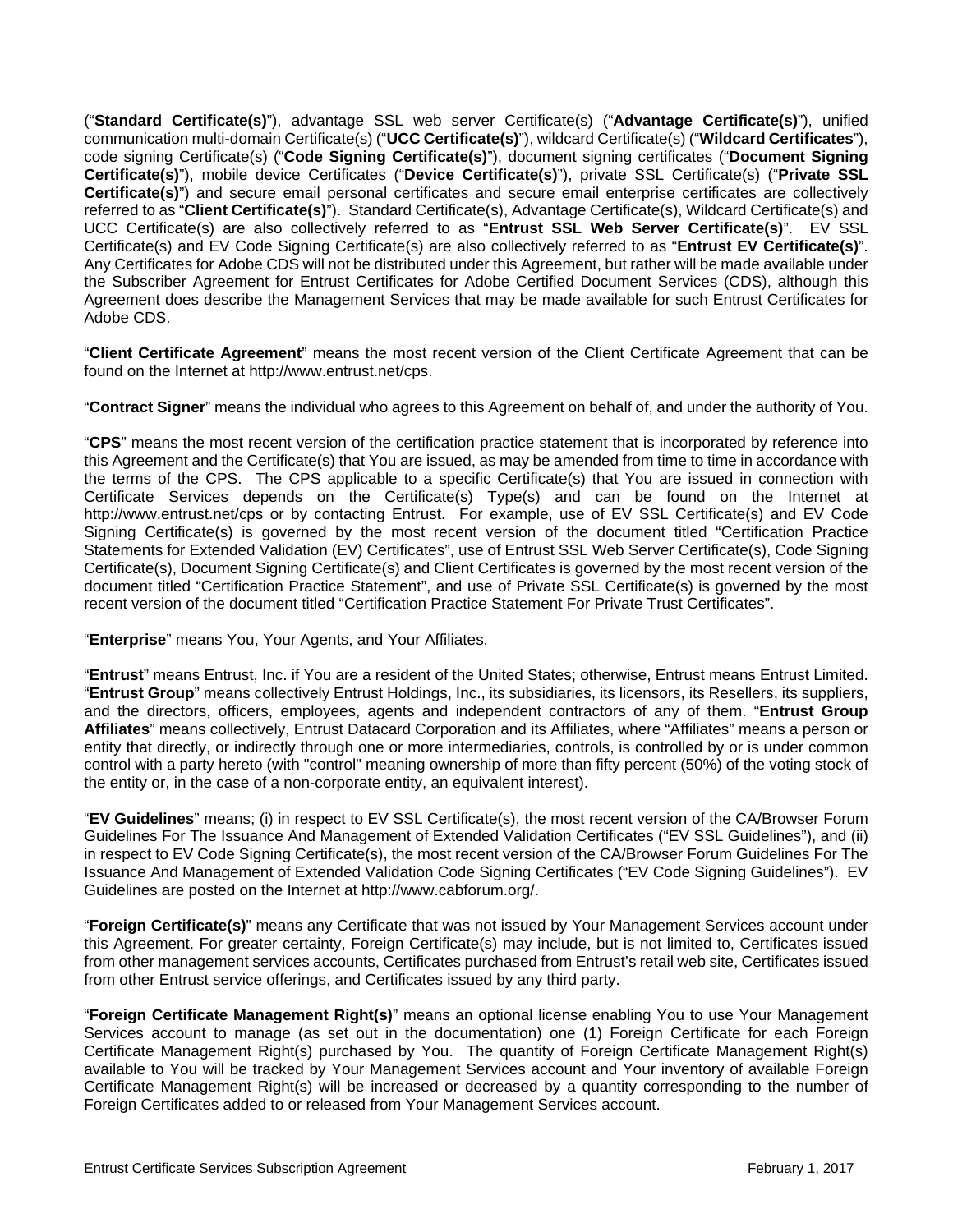("**Standard Certificate(s)**"), advantage SSL web server Certificate(s) ("**Advantage Certificate(s)**"), unified communication multi-domain Certificate(s) ("**UCC Certificate(s)**"), wildcard Certificate(s) ("**Wildcard Certificates**"), code signing Certificate(s) ("**Code Signing Certificate(s)**"), document signing certificates ("**Document Signing Certificate(s)**"), mobile device Certificates ("**Device Certificate(s)**"), private SSL Certificate(s) ("**Private SSL Certificate(s)**") and secure email personal certificates and secure email enterprise certificates are collectively referred to as "**Client Certificate(s)**"). Standard Certificate(s), Advantage Certificate(s), Wildcard Certificate(s) and UCC Certificate(s) are also collectively referred to as "**Entrust SSL Web Server Certificate(s)**". EV SSL Certificate(s) and EV Code Signing Certificate(s) are also collectively referred to as "**Entrust EV Certificate(s)**". Any Certificates for Adobe CDS will not be distributed under this Agreement, but rather will be made available under the Subscriber Agreement for Entrust Certificates for Adobe Certified Document Services (CDS), although this Agreement does describe the Management Services that may be made available for such Entrust Certificates for Adobe CDS.

"**Client Certificate Agreement**" means the most recent version of the Client Certificate Agreement that can be found on the Internet at http://www.entrust.net/cps.

"**Contract Signer**" means the individual who agrees to this Agreement on behalf of, and under the authority of You.

"**CPS**" means the most recent version of the certification practice statement that is incorporated by reference into this Agreement and the Certificate(s) that You are issued, as may be amended from time to time in accordance with the terms of the CPS. The CPS applicable to a specific Certificate(s) that You are issued in connection with Certificate Services depends on the Certificate(s) Type(s) and can be found on the Internet at http://www.entrust.net/cps or by contacting Entrust. For example, use of EV SSL Certificate(s) and EV Code Signing Certificate(s) is governed by the most recent version of the document titled "Certification Practice Statements for Extended Validation (EV) Certificates", use of Entrust SSL Web Server Certificate(s), Code Signing Certificate(s), Document Signing Certificate(s) and Client Certificates is governed by the most recent version of the document titled "Certification Practice Statement", and use of Private SSL Certificate(s) is governed by the most recent version of the document titled "Certification Practice Statement For Private Trust Certificates".

"**Enterprise**" means You, Your Agents, and Your Affiliates.

"**Entrust**" means Entrust, Inc. if You are a resident of the United States; otherwise, Entrust means Entrust Limited. "**Entrust Group**" means collectively Entrust Holdings, Inc., its subsidiaries, its licensors, its Resellers, its suppliers, and the directors, officers, employees, agents and independent contractors of any of them. "**Entrust Group Affiliates**" means collectively, Entrust Datacard Corporation and its Affiliates, where "Affiliates" means a person or entity that directly, or indirectly through one or more intermediaries, controls, is controlled by or is under common control with a party hereto (with "control" meaning ownership of more than fifty percent (50%) of the voting stock of the entity or, in the case of a non-corporate entity, an equivalent interest).

"**EV Guidelines**" means; (i) in respect to EV SSL Certificate(s), the most recent version of the CA/Browser Forum Guidelines For The Issuance And Management of Extended Validation Certificates ("EV SSL Guidelines"), and (ii) in respect to EV Code Signing Certificate(s), the most recent version of the CA/Browser Forum Guidelines For The Issuance And Management of Extended Validation Code Signing Certificates ("EV Code Signing Guidelines"). EV Guidelines are posted on the Internet at http://www.cabforum.org/.

"**Foreign Certificate(s)**" means any Certificate that was not issued by Your Management Services account under this Agreement. For greater certainty, Foreign Certificate(s) may include, but is not limited to, Certificates issued from other management services accounts, Certificates purchased from Entrust's retail web site, Certificates issued from other Entrust service offerings, and Certificates issued by any third party.

"**Foreign Certificate Management Right(s)**" means an optional license enabling You to use Your Management Services account to manage (as set out in the documentation) one (1) Foreign Certificate for each Foreign Certificate Management Right(s) purchased by You. The quantity of Foreign Certificate Management Right(s) available to You will be tracked by Your Management Services account and Your inventory of available Foreign Certificate Management Right(s) will be increased or decreased by a quantity corresponding to the number of Foreign Certificates added to or released from Your Management Services account.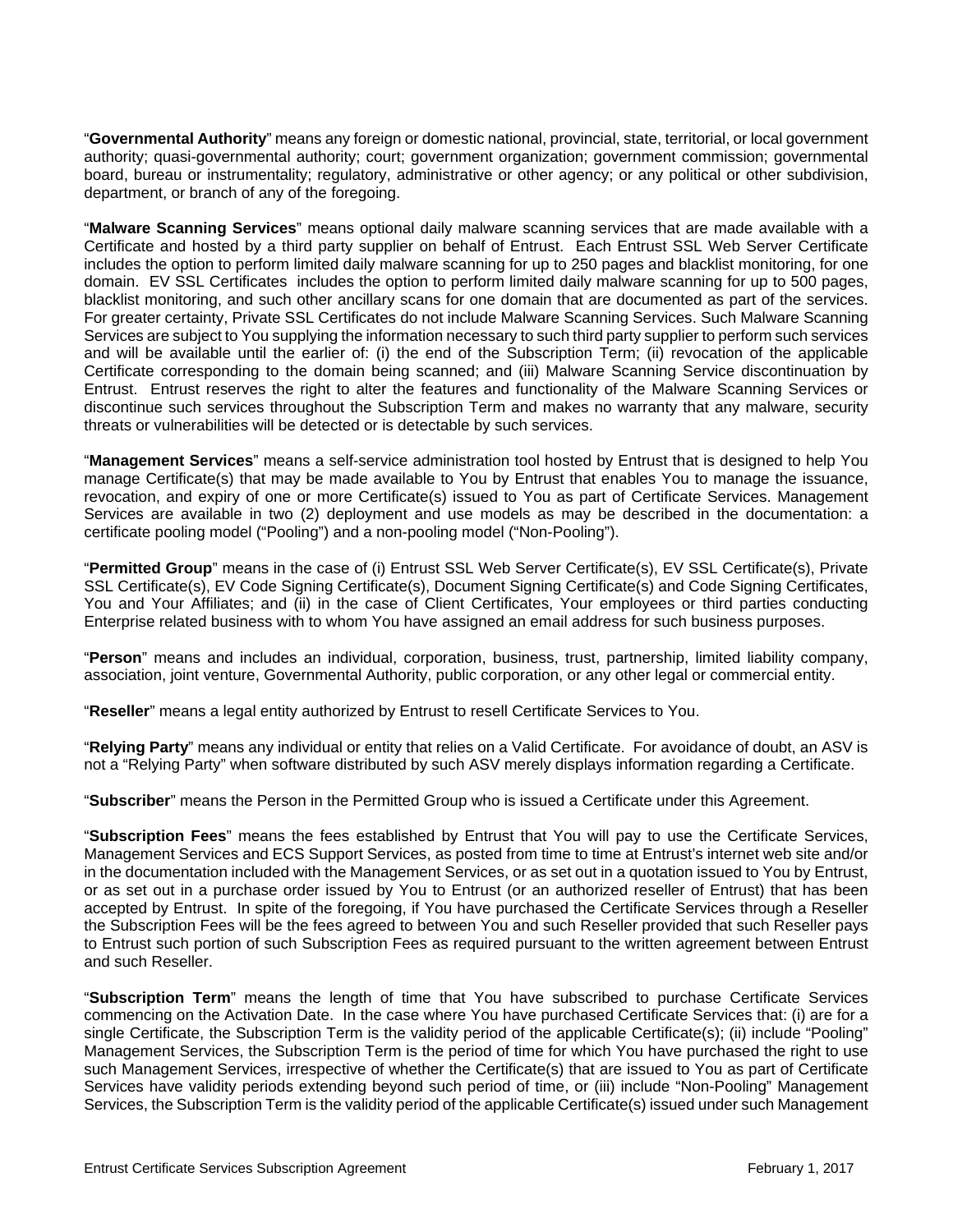"**Governmental Authority**" means any foreign or domestic national, provincial, state, territorial, or local government authority; quasi-governmental authority; court; government organization; government commission; governmental board, bureau or instrumentality; regulatory, administrative or other agency; or any political or other subdivision, department, or branch of any of the foregoing.

"**Malware Scanning Services**" means optional daily malware scanning services that are made available with a Certificate and hosted by a third party supplier on behalf of Entrust. Each Entrust SSL Web Server Certificate includes the option to perform limited daily malware scanning for up to 250 pages and blacklist monitoring, for one domain. EV SSL Certificates includes the option to perform limited daily malware scanning for up to 500 pages, blacklist monitoring, and such other ancillary scans for one domain that are documented as part of the services. For greater certainty, Private SSL Certificates do not include Malware Scanning Services. Such Malware Scanning Services are subject to You supplying the information necessary to such third party supplier to perform such services and will be available until the earlier of: (i) the end of the Subscription Term; (ii) revocation of the applicable Certificate corresponding to the domain being scanned; and (iii) Malware Scanning Service discontinuation by Entrust. Entrust reserves the right to alter the features and functionality of the Malware Scanning Services or discontinue such services throughout the Subscription Term and makes no warranty that any malware, security threats or vulnerabilities will be detected or is detectable by such services.

"**Management Services**" means a self-service administration tool hosted by Entrust that is designed to help You manage Certificate(s) that may be made available to You by Entrust that enables You to manage the issuance, revocation, and expiry of one or more Certificate(s) issued to You as part of Certificate Services. Management Services are available in two (2) deployment and use models as may be described in the documentation: a certificate pooling model ("Pooling") and a non-pooling model ("Non-Pooling").

"**Permitted Group**" means in the case of (i) Entrust SSL Web Server Certificate(s), EV SSL Certificate(s), Private SSL Certificate(s), EV Code Signing Certificate(s), Document Signing Certificate(s) and Code Signing Certificates, You and Your Affiliates; and (ii) in the case of Client Certificates, Your employees or third parties conducting Enterprise related business with to whom You have assigned an email address for such business purposes.

"**Person**" means and includes an individual, corporation, business, trust, partnership, limited liability company, association, joint venture, Governmental Authority, public corporation, or any other legal or commercial entity.

"**Reseller**" means a legal entity authorized by Entrust to resell Certificate Services to You.

"**Relying Party**" means any individual or entity that relies on a Valid Certificate. For avoidance of doubt, an ASV is not a "Relying Party" when software distributed by such ASV merely displays information regarding a Certificate.

"**Subscriber**" means the Person in the Permitted Group who is issued a Certificate under this Agreement.

"**Subscription Fees**" means the fees established by Entrust that You will pay to use the Certificate Services, Management Services and ECS Support Services, as posted from time to time at Entrust's internet web site and/or in the documentation included with the Management Services, or as set out in a quotation issued to You by Entrust, or as set out in a purchase order issued by You to Entrust (or an authorized reseller of Entrust) that has been accepted by Entrust. In spite of the foregoing, if You have purchased the Certificate Services through a Reseller the Subscription Fees will be the fees agreed to between You and such Reseller provided that such Reseller pays to Entrust such portion of such Subscription Fees as required pursuant to the written agreement between Entrust and such Reseller.

"**Subscription Term**" means the length of time that You have subscribed to purchase Certificate Services commencing on the Activation Date. In the case where You have purchased Certificate Services that: (i) are for a single Certificate, the Subscription Term is the validity period of the applicable Certificate(s); (ii) include "Pooling" Management Services, the Subscription Term is the period of time for which You have purchased the right to use such Management Services, irrespective of whether the Certificate(s) that are issued to You as part of Certificate Services have validity periods extending beyond such period of time, or (iii) include "Non-Pooling" Management Services, the Subscription Term is the validity period of the applicable Certificate(s) issued under such Management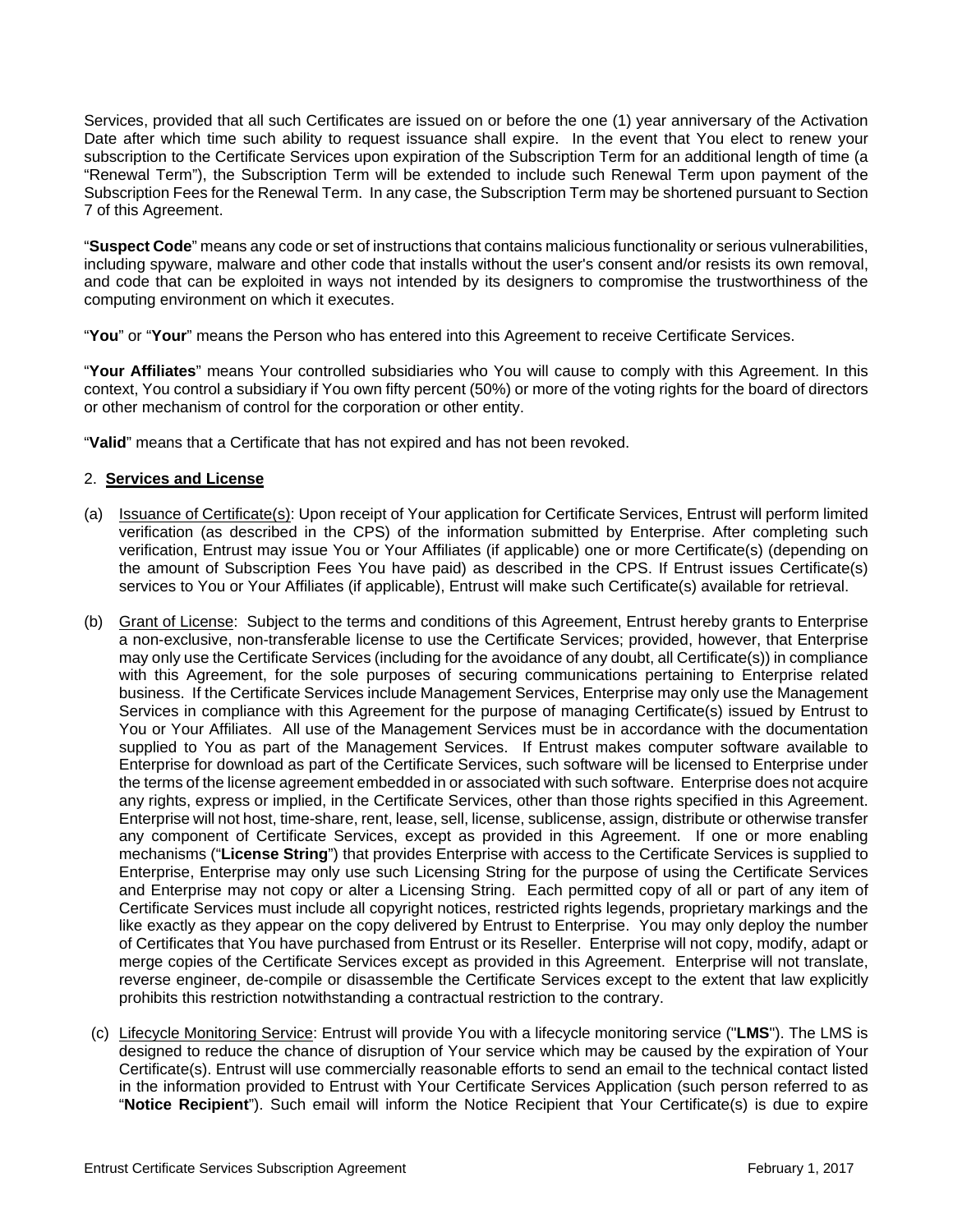Services, provided that all such Certificates are issued on or before the one (1) year anniversary of the Activation Date after which time such ability to request issuance shall expire. In the event that You elect to renew your subscription to the Certificate Services upon expiration of the Subscription Term for an additional length of time (a "Renewal Term"), the Subscription Term will be extended to include such Renewal Term upon payment of the Subscription Fees for the Renewal Term. In any case, the Subscription Term may be shortened pursuant to Section 7 of this Agreement.

"**Suspect Code**" means any code or set of instructions that contains malicious functionality or serious vulnerabilities, including spyware, malware and other code that installs without the user's consent and/or resists its own removal, and code that can be exploited in ways not intended by its designers to compromise the trustworthiness of the computing environment on which it executes.

"**You**" or "**Your**" means the Person who has entered into this Agreement to receive Certificate Services.

"**Your Affiliates**" means Your controlled subsidiaries who You will cause to comply with this Agreement. In this context, You control a subsidiary if You own fifty percent (50%) or more of the voting rights for the board of directors or other mechanism of control for the corporation or other entity.

"**Valid**" means that a Certificate that has not expired and has not been revoked.

## 2. **Services and License**

- (a) Issuance of Certificate(s): Upon receipt of Your application for Certificate Services, Entrust will perform limited verification (as described in the CPS) of the information submitted by Enterprise. After completing such verification, Entrust may issue You or Your Affiliates (if applicable) one or more Certificate(s) (depending on the amount of Subscription Fees You have paid) as described in the CPS. If Entrust issues Certificate(s) services to You or Your Affiliates (if applicable), Entrust will make such Certificate(s) available for retrieval.
- (b) Grant of License: Subject to the terms and conditions of this Agreement, Entrust hereby grants to Enterprise a non-exclusive, non-transferable license to use the Certificate Services; provided, however, that Enterprise may only use the Certificate Services (including for the avoidance of any doubt, all Certificate(s)) in compliance with this Agreement, for the sole purposes of securing communications pertaining to Enterprise related business. If the Certificate Services include Management Services, Enterprise may only use the Management Services in compliance with this Agreement for the purpose of managing Certificate(s) issued by Entrust to You or Your Affiliates. All use of the Management Services must be in accordance with the documentation supplied to You as part of the Management Services. If Entrust makes computer software available to Enterprise for download as part of the Certificate Services, such software will be licensed to Enterprise under the terms of the license agreement embedded in or associated with such software. Enterprise does not acquire any rights, express or implied, in the Certificate Services, other than those rights specified in this Agreement. Enterprise will not host, time-share, rent, lease, sell, license, sublicense, assign, distribute or otherwise transfer any component of Certificate Services, except as provided in this Agreement. If one or more enabling mechanisms ("**License String**") that provides Enterprise with access to the Certificate Services is supplied to Enterprise, Enterprise may only use such Licensing String for the purpose of using the Certificate Services and Enterprise may not copy or alter a Licensing String. Each permitted copy of all or part of any item of Certificate Services must include all copyright notices, restricted rights legends, proprietary markings and the like exactly as they appear on the copy delivered by Entrust to Enterprise. You may only deploy the number of Certificates that You have purchased from Entrust or its Reseller. Enterprise will not copy, modify, adapt or merge copies of the Certificate Services except as provided in this Agreement. Enterprise will not translate, reverse engineer, de-compile or disassemble the Certificate Services except to the extent that law explicitly prohibits this restriction notwithstanding a contractual restriction to the contrary.
- (c) Lifecycle Monitoring Service: Entrust will provide You with a lifecycle monitoring service ("**LMS**"). The LMS is designed to reduce the chance of disruption of Your service which may be caused by the expiration of Your Certificate(s). Entrust will use commercially reasonable efforts to send an email to the technical contact listed in the information provided to Entrust with Your Certificate Services Application (such person referred to as "**Notice Recipient**"). Such email will inform the Notice Recipient that Your Certificate(s) is due to expire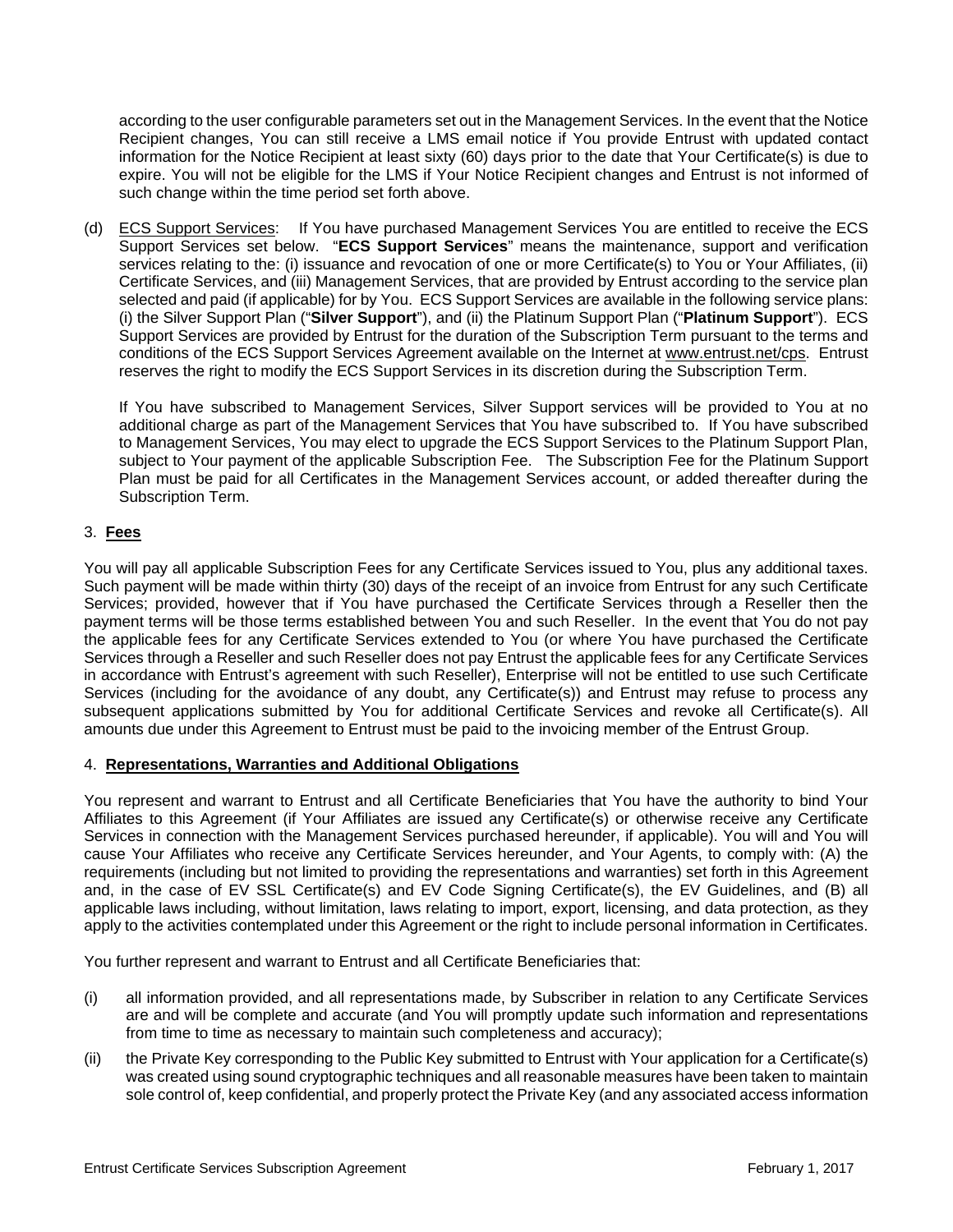according to the user configurable parameters set out in the Management Services. In the event that the Notice Recipient changes, You can still receive a LMS email notice if You provide Entrust with updated contact information for the Notice Recipient at least sixty (60) days prior to the date that Your Certificate(s) is due to expire. You will not be eligible for the LMS if Your Notice Recipient changes and Entrust is not informed of such change within the time period set forth above.

(d) ECS Support Services: If You have purchased Management Services You are entitled to receive the ECS Support Services set below. "**ECS Support Services**" means the maintenance, support and verification services relating to the: (i) issuance and revocation of one or more Certificate(s) to You or Your Affiliates, (ii) Certificate Services, and (iii) Management Services, that are provided by Entrust according to the service plan selected and paid (if applicable) for by You. ECS Support Services are available in the following service plans: (i) the Silver Support Plan ("**Silver Support**"), and (ii) the Platinum Support Plan ("**Platinum Support**"). ECS Support Services are provided by Entrust for the duration of the Subscription Term pursuant to the terms and conditions of the ECS Support Services Agreement available on the Internet at www.entrust.net/cps. Entrust reserves the right to modify the ECS Support Services in its discretion during the Subscription Term.

If You have subscribed to Management Services, Silver Support services will be provided to You at no additional charge as part of the Management Services that You have subscribed to. If You have subscribed to Management Services, You may elect to upgrade the ECS Support Services to the Platinum Support Plan, subject to Your payment of the applicable Subscription Fee. The Subscription Fee for the Platinum Support Plan must be paid for all Certificates in the Management Services account, or added thereafter during the Subscription Term.

## 3. **Fees**

You will pay all applicable Subscription Fees for any Certificate Services issued to You, plus any additional taxes. Such payment will be made within thirty (30) days of the receipt of an invoice from Entrust for any such Certificate Services; provided, however that if You have purchased the Certificate Services through a Reseller then the payment terms will be those terms established between You and such Reseller. In the event that You do not pay the applicable fees for any Certificate Services extended to You (or where You have purchased the Certificate Services through a Reseller and such Reseller does not pay Entrust the applicable fees for any Certificate Services in accordance with Entrust's agreement with such Reseller), Enterprise will not be entitled to use such Certificate Services (including for the avoidance of any doubt, any Certificate(s)) and Entrust may refuse to process any subsequent applications submitted by You for additional Certificate Services and revoke all Certificate(s). All amounts due under this Agreement to Entrust must be paid to the invoicing member of the Entrust Group.

## 4. **Representations, Warranties and Additional Obligations**

You represent and warrant to Entrust and all Certificate Beneficiaries that You have the authority to bind Your Affiliates to this Agreement (if Your Affiliates are issued any Certificate(s) or otherwise receive any Certificate Services in connection with the Management Services purchased hereunder, if applicable). You will and You will cause Your Affiliates who receive any Certificate Services hereunder, and Your Agents, to comply with: (A) the requirements (including but not limited to providing the representations and warranties) set forth in this Agreement and, in the case of EV SSL Certificate(s) and EV Code Signing Certificate(s), the EV Guidelines, and (B) all applicable laws including, without limitation, laws relating to import, export, licensing, and data protection, as they apply to the activities contemplated under this Agreement or the right to include personal information in Certificates.

You further represent and warrant to Entrust and all Certificate Beneficiaries that:

- (i) all information provided, and all representations made, by Subscriber in relation to any Certificate Services are and will be complete and accurate (and You will promptly update such information and representations from time to time as necessary to maintain such completeness and accuracy);
- (ii) the Private Key corresponding to the Public Key submitted to Entrust with Your application for a Certificate(s) was created using sound cryptographic techniques and all reasonable measures have been taken to maintain sole control of, keep confidential, and properly protect the Private Key (and any associated access information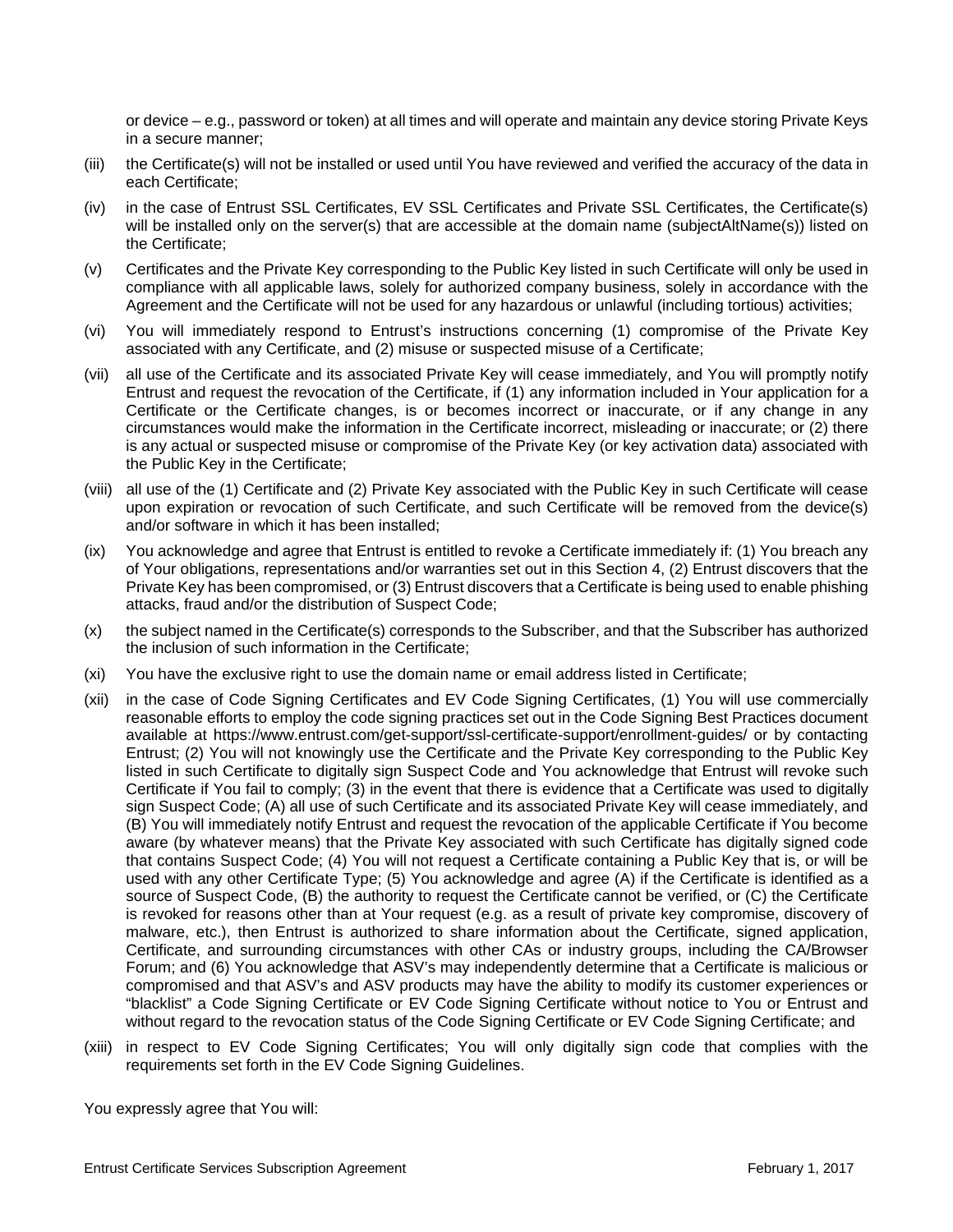or device – e.g., password or token) at all times and will operate and maintain any device storing Private Keys in a secure manner;

- (iii) the Certificate(s) will not be installed or used until You have reviewed and verified the accuracy of the data in each Certificate;
- (iv) in the case of Entrust SSL Certificates, EV SSL Certificates and Private SSL Certificates, the Certificate(s) will be installed only on the server(s) that are accessible at the domain name (subjectAltName(s)) listed on the Certificate;
- (v) Certificates and the Private Key corresponding to the Public Key listed in such Certificate will only be used in compliance with all applicable laws, solely for authorized company business, solely in accordance with the Agreement and the Certificate will not be used for any hazardous or unlawful (including tortious) activities;
- (vi) You will immediately respond to Entrust's instructions concerning (1) compromise of the Private Key associated with any Certificate, and (2) misuse or suspected misuse of a Certificate;
- (vii) all use of the Certificate and its associated Private Key will cease immediately, and You will promptly notify Entrust and request the revocation of the Certificate, if (1) any information included in Your application for a Certificate or the Certificate changes, is or becomes incorrect or inaccurate, or if any change in any circumstances would make the information in the Certificate incorrect, misleading or inaccurate; or (2) there is any actual or suspected misuse or compromise of the Private Key (or key activation data) associated with the Public Key in the Certificate;
- (viii) all use of the (1) Certificate and (2) Private Key associated with the Public Key in such Certificate will cease upon expiration or revocation of such Certificate, and such Certificate will be removed from the device(s) and/or software in which it has been installed;
- (ix) You acknowledge and agree that Entrust is entitled to revoke a Certificate immediately if: (1) You breach any of Your obligations, representations and/or warranties set out in this Section 4, (2) Entrust discovers that the Private Key has been compromised, or (3) Entrust discovers that a Certificate is being used to enable phishing attacks, fraud and/or the distribution of Suspect Code;
- (x) the subject named in the Certificate(s) corresponds to the Subscriber, and that the Subscriber has authorized the inclusion of such information in the Certificate;
- (xi) You have the exclusive right to use the domain name or email address listed in Certificate;
- (xii) in the case of Code Signing Certificates and EV Code Signing Certificates, (1) You will use commercially reasonable efforts to employ the code signing practices set out in the Code Signing Best Practices document available at https://www.entrust.com/get-support/ssl-certificate-support/enrollment-guides/ or by contacting Entrust; (2) You will not knowingly use the Certificate and the Private Key corresponding to the Public Key listed in such Certificate to digitally sign Suspect Code and You acknowledge that Entrust will revoke such Certificate if You fail to comply; (3) in the event that there is evidence that a Certificate was used to digitally sign Suspect Code; (A) all use of such Certificate and its associated Private Key will cease immediately, and (B) You will immediately notify Entrust and request the revocation of the applicable Certificate if You become aware (by whatever means) that the Private Key associated with such Certificate has digitally signed code that contains Suspect Code; (4) You will not request a Certificate containing a Public Key that is, or will be used with any other Certificate Type; (5) You acknowledge and agree (A) if the Certificate is identified as a source of Suspect Code, (B) the authority to request the Certificate cannot be verified, or (C) the Certificate is revoked for reasons other than at Your request (e.g. as a result of private key compromise, discovery of malware, etc.), then Entrust is authorized to share information about the Certificate, signed application, Certificate, and surrounding circumstances with other CAs or industry groups, including the CA/Browser Forum; and (6) You acknowledge that ASV's may independently determine that a Certificate is malicious or compromised and that ASV's and ASV products may have the ability to modify its customer experiences or "blacklist" a Code Signing Certificate or EV Code Signing Certificate without notice to You or Entrust and without regard to the revocation status of the Code Signing Certificate or EV Code Signing Certificate; and
- (xiii) in respect to EV Code Signing Certificates; You will only digitally sign code that complies with the requirements set forth in the EV Code Signing Guidelines.

You expressly agree that You will: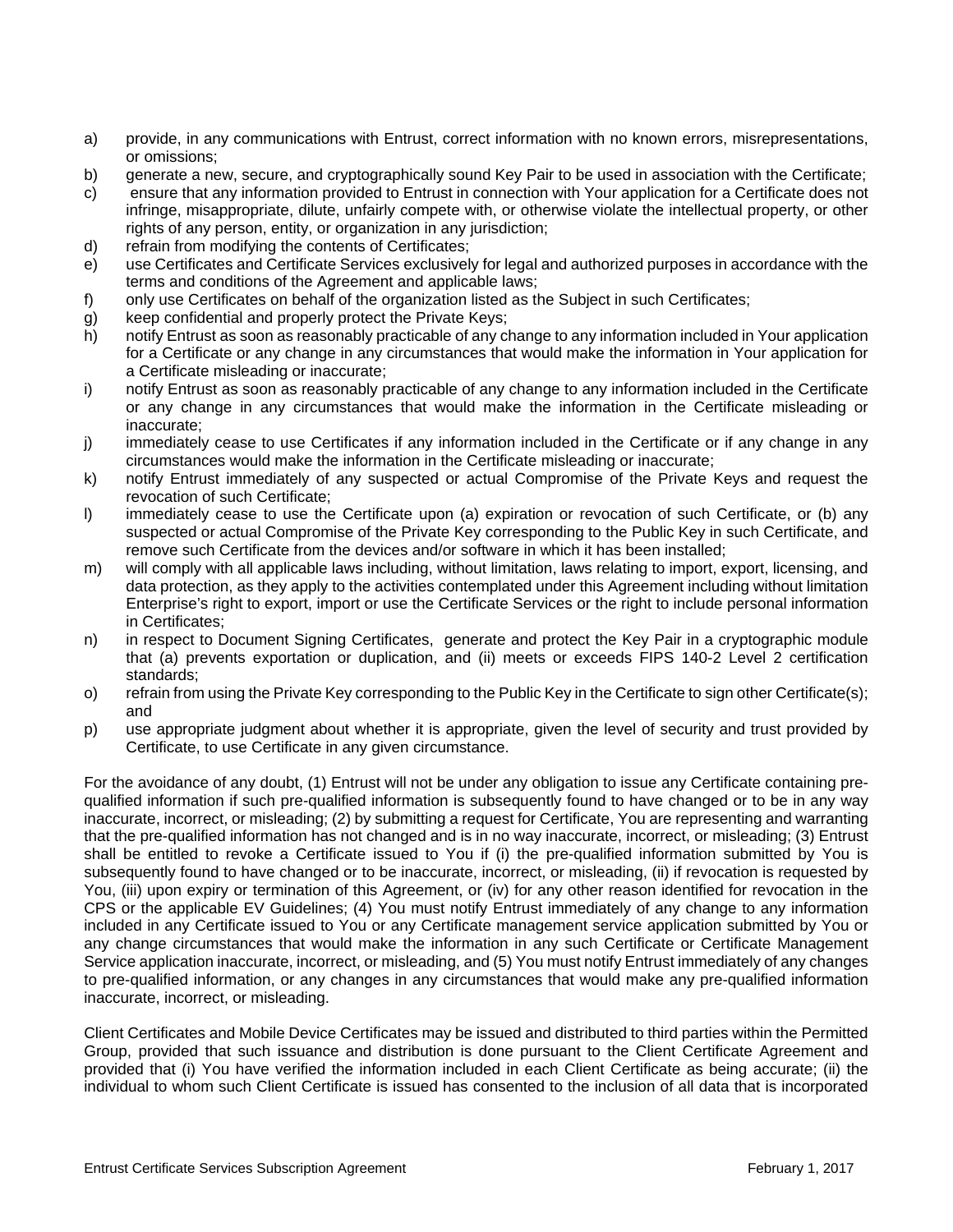- a) provide, in any communications with Entrust, correct information with no known errors, misrepresentations, or omissions;
- b) generate a new, secure, and cryptographically sound Key Pair to be used in association with the Certificate;
- c) ensure that any information provided to Entrust in connection with Your application for a Certificate does not infringe, misappropriate, dilute, unfairly compete with, or otherwise violate the intellectual property, or other rights of any person, entity, or organization in any jurisdiction;
- d) refrain from modifying the contents of Certificates;
- e) use Certificates and Certificate Services exclusively for legal and authorized purposes in accordance with the terms and conditions of the Agreement and applicable laws;
- f) only use Certificates on behalf of the organization listed as the Subject in such Certificates;
- g) keep confidential and properly protect the Private Keys;
- h) notify Entrust as soon as reasonably practicable of any change to any information included in Your application for a Certificate or any change in any circumstances that would make the information in Your application for a Certificate misleading or inaccurate;
- i) notify Entrust as soon as reasonably practicable of any change to any information included in the Certificate or any change in any circumstances that would make the information in the Certificate misleading or inaccurate;
- j) immediately cease to use Certificates if any information included in the Certificate or if any change in any circumstances would make the information in the Certificate misleading or inaccurate;
- k) notify Entrust immediately of any suspected or actual Compromise of the Private Keys and request the revocation of such Certificate;
- l) immediately cease to use the Certificate upon (a) expiration or revocation of such Certificate, or (b) any suspected or actual Compromise of the Private Key corresponding to the Public Key in such Certificate, and remove such Certificate from the devices and/or software in which it has been installed;
- m) will comply with all applicable laws including, without limitation, laws relating to import, export, licensing, and data protection, as they apply to the activities contemplated under this Agreement including without limitation Enterprise's right to export, import or use the Certificate Services or the right to include personal information in Certificates;
- n) in respect to Document Signing Certificates, generate and protect the Key Pair in a cryptographic module that (a) prevents exportation or duplication, and (ii) meets or exceeds FIPS 140-2 Level 2 certification standards;
- o) refrain from using the Private Key corresponding to the Public Key in the Certificate to sign other Certificate(s); and
- p) use appropriate judgment about whether it is appropriate, given the level of security and trust provided by Certificate, to use Certificate in any given circumstance.

For the avoidance of any doubt, (1) Entrust will not be under any obligation to issue any Certificate containing prequalified information if such pre-qualified information is subsequently found to have changed or to be in any way inaccurate, incorrect, or misleading; (2) by submitting a request for Certificate, You are representing and warranting that the pre-qualified information has not changed and is in no way inaccurate, incorrect, or misleading; (3) Entrust shall be entitled to revoke a Certificate issued to You if (i) the pre-qualified information submitted by You is subsequently found to have changed or to be inaccurate, incorrect, or misleading, (ii) if revocation is requested by You, (iii) upon expiry or termination of this Agreement, or (iv) for any other reason identified for revocation in the CPS or the applicable EV Guidelines; (4) You must notify Entrust immediately of any change to any information included in any Certificate issued to You or any Certificate management service application submitted by You or any change circumstances that would make the information in any such Certificate or Certificate Management Service application inaccurate, incorrect, or misleading, and (5) You must notify Entrust immediately of any changes to pre-qualified information, or any changes in any circumstances that would make any pre-qualified information inaccurate, incorrect, or misleading.

Client Certificates and Mobile Device Certificates may be issued and distributed to third parties within the Permitted Group, provided that such issuance and distribution is done pursuant to the Client Certificate Agreement and provided that (i) You have verified the information included in each Client Certificate as being accurate; (ii) the individual to whom such Client Certificate is issued has consented to the inclusion of all data that is incorporated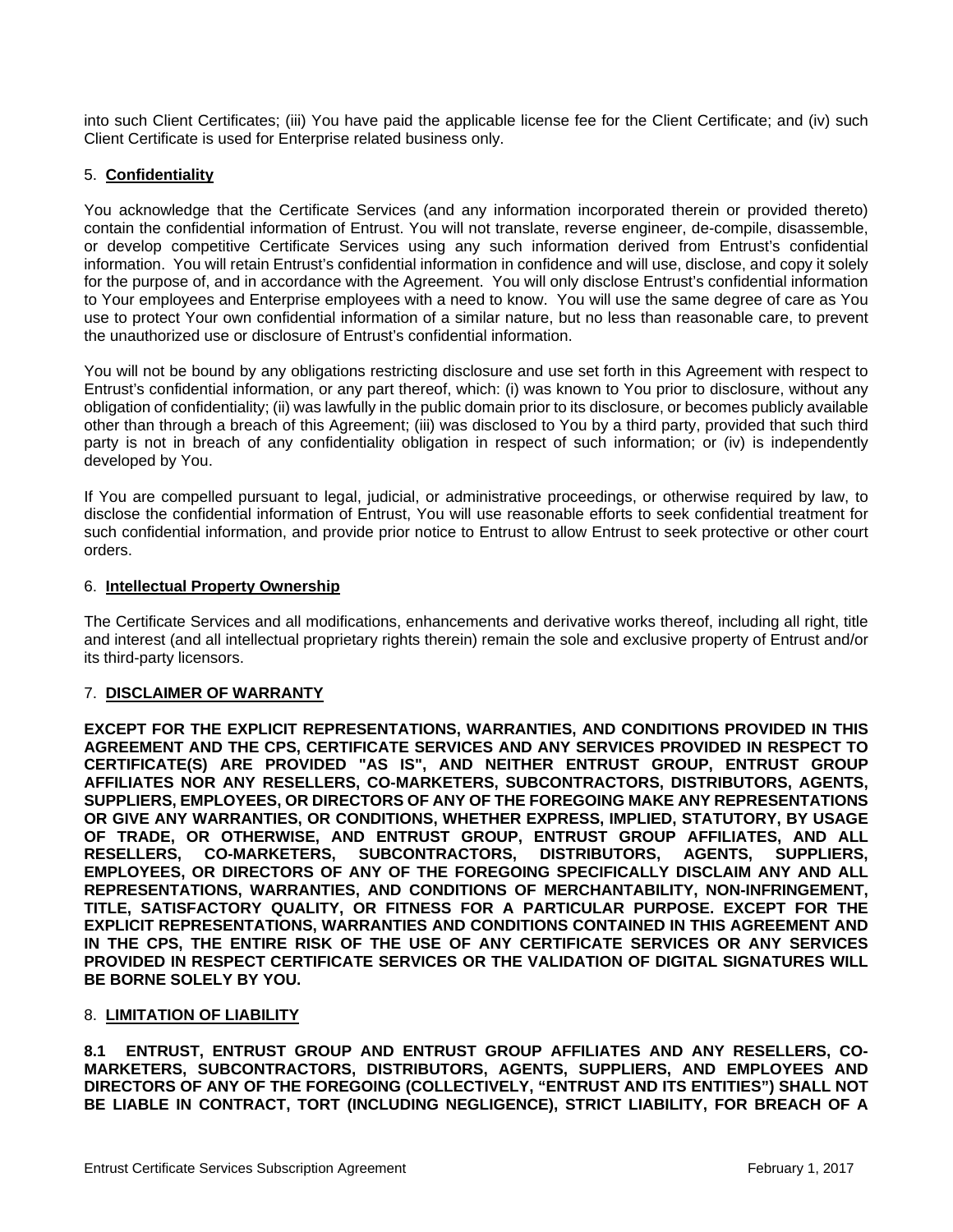into such Client Certificates; (iii) You have paid the applicable license fee for the Client Certificate; and (iv) such Client Certificate is used for Enterprise related business only.

## 5. **Confidentiality**

You acknowledge that the Certificate Services (and any information incorporated therein or provided thereto) contain the confidential information of Entrust. You will not translate, reverse engineer, de-compile, disassemble, or develop competitive Certificate Services using any such information derived from Entrust's confidential information. You will retain Entrust's confidential information in confidence and will use, disclose, and copy it solely for the purpose of, and in accordance with the Agreement. You will only disclose Entrust's confidential information to Your employees and Enterprise employees with a need to know. You will use the same degree of care as You use to protect Your own confidential information of a similar nature, but no less than reasonable care, to prevent the unauthorized use or disclosure of Entrust's confidential information.

You will not be bound by any obligations restricting disclosure and use set forth in this Agreement with respect to Entrust's confidential information, or any part thereof, which: (i) was known to You prior to disclosure, without any obligation of confidentiality; (ii) was lawfully in the public domain prior to its disclosure, or becomes publicly available other than through a breach of this Agreement; (iii) was disclosed to You by a third party, provided that such third party is not in breach of any confidentiality obligation in respect of such information; or (iv) is independently developed by You.

If You are compelled pursuant to legal, judicial, or administrative proceedings, or otherwise required by law, to disclose the confidential information of Entrust, You will use reasonable efforts to seek confidential treatment for such confidential information, and provide prior notice to Entrust to allow Entrust to seek protective or other court orders.

#### 6. **Intellectual Property Ownership**

The Certificate Services and all modifications, enhancements and derivative works thereof, including all right, title and interest (and all intellectual proprietary rights therein) remain the sole and exclusive property of Entrust and/or its third-party licensors.

#### 7. **DISCLAIMER OF WARRANTY**

**EXCEPT FOR THE EXPLICIT REPRESENTATIONS, WARRANTIES, AND CONDITIONS PROVIDED IN THIS AGREEMENT AND THE CPS, CERTIFICATE SERVICES AND ANY SERVICES PROVIDED IN RESPECT TO CERTIFICATE(S) ARE PROVIDED "AS IS", AND NEITHER ENTRUST GROUP, ENTRUST GROUP AFFILIATES NOR ANY RESELLERS, CO-MARKETERS, SUBCONTRACTORS, DISTRIBUTORS, AGENTS, SUPPLIERS, EMPLOYEES, OR DIRECTORS OF ANY OF THE FOREGOING MAKE ANY REPRESENTATIONS OR GIVE ANY WARRANTIES, OR CONDITIONS, WHETHER EXPRESS, IMPLIED, STATUTORY, BY USAGE OF TRADE, OR OTHERWISE, AND ENTRUST GROUP, ENTRUST GROUP AFFILIATES, AND ALL RESELLERS, CO-MARKETERS, SUBCONTRACTORS, DISTRIBUTORS, AGENTS, SUPPLIERS, EMPLOYEES, OR DIRECTORS OF ANY OF THE FOREGOING SPECIFICALLY DISCLAIM ANY AND ALL REPRESENTATIONS, WARRANTIES, AND CONDITIONS OF MERCHANTABILITY, NON-INFRINGEMENT, TITLE, SATISFACTORY QUALITY, OR FITNESS FOR A PARTICULAR PURPOSE. EXCEPT FOR THE EXPLICIT REPRESENTATIONS, WARRANTIES AND CONDITIONS CONTAINED IN THIS AGREEMENT AND IN THE CPS, THE ENTIRE RISK OF THE USE OF ANY CERTIFICATE SERVICES OR ANY SERVICES PROVIDED IN RESPECT CERTIFICATE SERVICES OR THE VALIDATION OF DIGITAL SIGNATURES WILL BE BORNE SOLELY BY YOU.**

#### 8. **LIMITATION OF LIABILITY**

**8.1 ENTRUST, ENTRUST GROUP AND ENTRUST GROUP AFFILIATES AND ANY RESELLERS, CO-MARKETERS, SUBCONTRACTORS, DISTRIBUTORS, AGENTS, SUPPLIERS, AND EMPLOYEES AND DIRECTORS OF ANY OF THE FOREGOING (COLLECTIVELY, "ENTRUST AND ITS ENTITIES") SHALL NOT BE LIABLE IN CONTRACT, TORT (INCLUDING NEGLIGENCE), STRICT LIABILITY, FOR BREACH OF A**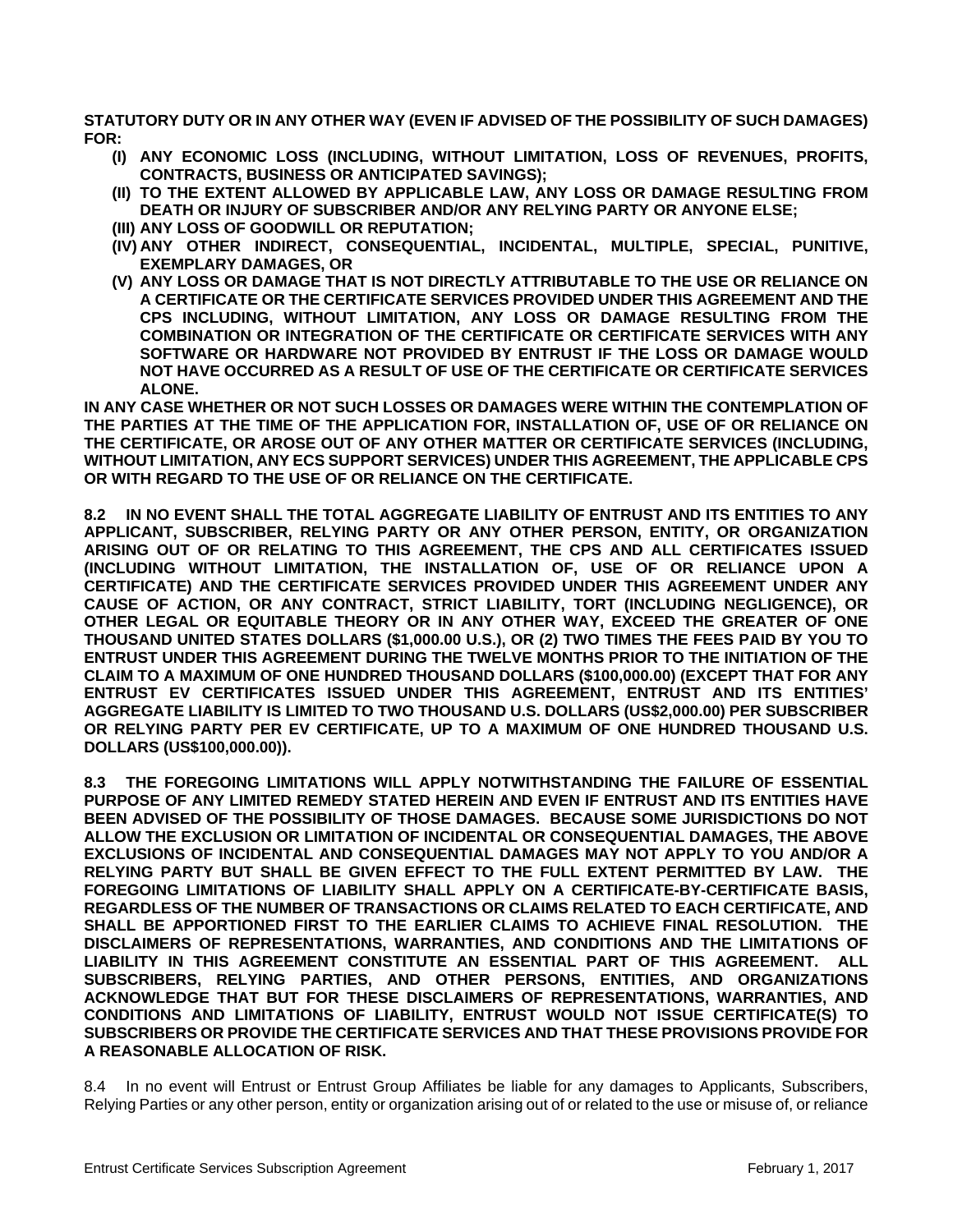**STATUTORY DUTY OR IN ANY OTHER WAY (EVEN IF ADVISED OF THE POSSIBILITY OF SUCH DAMAGES) FOR:** 

- **(I) ANY ECONOMIC LOSS (INCLUDING, WITHOUT LIMITATION, LOSS OF REVENUES, PROFITS, CONTRACTS, BUSINESS OR ANTICIPATED SAVINGS);**
- **(II) TO THE EXTENT ALLOWED BY APPLICABLE LAW, ANY LOSS OR DAMAGE RESULTING FROM DEATH OR INJURY OF SUBSCRIBER AND/OR ANY RELYING PARTY OR ANYONE ELSE;**
- **(III) ANY LOSS OF GOODWILL OR REPUTATION;**
- **(IV) ANY OTHER INDIRECT, CONSEQUENTIAL, INCIDENTAL, MULTIPLE, SPECIAL, PUNITIVE, EXEMPLARY DAMAGES, OR**
- **(V) ANY LOSS OR DAMAGE THAT IS NOT DIRECTLY ATTRIBUTABLE TO THE USE OR RELIANCE ON A CERTIFICATE OR THE CERTIFICATE SERVICES PROVIDED UNDER THIS AGREEMENT AND THE CPS INCLUDING, WITHOUT LIMITATION, ANY LOSS OR DAMAGE RESULTING FROM THE COMBINATION OR INTEGRATION OF THE CERTIFICATE OR CERTIFICATE SERVICES WITH ANY SOFTWARE OR HARDWARE NOT PROVIDED BY ENTRUST IF THE LOSS OR DAMAGE WOULD NOT HAVE OCCURRED AS A RESULT OF USE OF THE CERTIFICATE OR CERTIFICATE SERVICES ALONE.**

**IN ANY CASE WHETHER OR NOT SUCH LOSSES OR DAMAGES WERE WITHIN THE CONTEMPLATION OF THE PARTIES AT THE TIME OF THE APPLICATION FOR, INSTALLATION OF, USE OF OR RELIANCE ON THE CERTIFICATE, OR AROSE OUT OF ANY OTHER MATTER OR CERTIFICATE SERVICES (INCLUDING, WITHOUT LIMITATION, ANY ECS SUPPORT SERVICES) UNDER THIS AGREEMENT, THE APPLICABLE CPS OR WITH REGARD TO THE USE OF OR RELIANCE ON THE CERTIFICATE.** 

**8.2 IN NO EVENT SHALL THE TOTAL AGGREGATE LIABILITY OF ENTRUST AND ITS ENTITIES TO ANY APPLICANT, SUBSCRIBER, RELYING PARTY OR ANY OTHER PERSON, ENTITY, OR ORGANIZATION ARISING OUT OF OR RELATING TO THIS AGREEMENT, THE CPS AND ALL CERTIFICATES ISSUED (INCLUDING WITHOUT LIMITATION, THE INSTALLATION OF, USE OF OR RELIANCE UPON A CERTIFICATE) AND THE CERTIFICATE SERVICES PROVIDED UNDER THIS AGREEMENT UNDER ANY CAUSE OF ACTION, OR ANY CONTRACT, STRICT LIABILITY, TORT (INCLUDING NEGLIGENCE), OR OTHER LEGAL OR EQUITABLE THEORY OR IN ANY OTHER WAY, EXCEED THE GREATER OF ONE THOUSAND UNITED STATES DOLLARS (\$1,000.00 U.S.), OR (2) TWO TIMES THE FEES PAID BY YOU TO ENTRUST UNDER THIS AGREEMENT DURING THE TWELVE MONTHS PRIOR TO THE INITIATION OF THE CLAIM TO A MAXIMUM OF ONE HUNDRED THOUSAND DOLLARS (\$100,000.00) (EXCEPT THAT FOR ANY ENTRUST EV CERTIFICATES ISSUED UNDER THIS AGREEMENT, ENTRUST AND ITS ENTITIES' AGGREGATE LIABILITY IS LIMITED TO TWO THOUSAND U.S. DOLLARS (US\$2,000.00) PER SUBSCRIBER OR RELYING PARTY PER EV CERTIFICATE, UP TO A MAXIMUM OF ONE HUNDRED THOUSAND U.S. DOLLARS (US\$100,000.00)).** 

**8.3 THE FOREGOING LIMITATIONS WILL APPLY NOTWITHSTANDING THE FAILURE OF ESSENTIAL PURPOSE OF ANY LIMITED REMEDY STATED HEREIN AND EVEN IF ENTRUST AND ITS ENTITIES HAVE BEEN ADVISED OF THE POSSIBILITY OF THOSE DAMAGES. BECAUSE SOME JURISDICTIONS DO NOT ALLOW THE EXCLUSION OR LIMITATION OF INCIDENTAL OR CONSEQUENTIAL DAMAGES, THE ABOVE EXCLUSIONS OF INCIDENTAL AND CONSEQUENTIAL DAMAGES MAY NOT APPLY TO YOU AND/OR A RELYING PARTY BUT SHALL BE GIVEN EFFECT TO THE FULL EXTENT PERMITTED BY LAW. THE FOREGOING LIMITATIONS OF LIABILITY SHALL APPLY ON A CERTIFICATE-BY-CERTIFICATE BASIS, REGARDLESS OF THE NUMBER OF TRANSACTIONS OR CLAIMS RELATED TO EACH CERTIFICATE, AND SHALL BE APPORTIONED FIRST TO THE EARLIER CLAIMS TO ACHIEVE FINAL RESOLUTION. THE DISCLAIMERS OF REPRESENTATIONS, WARRANTIES, AND CONDITIONS AND THE LIMITATIONS OF LIABILITY IN THIS AGREEMENT CONSTITUTE AN ESSENTIAL PART OF THIS AGREEMENT. ALL SUBSCRIBERS, RELYING PARTIES, AND OTHER PERSONS, ENTITIES, AND ORGANIZATIONS ACKNOWLEDGE THAT BUT FOR THESE DISCLAIMERS OF REPRESENTATIONS, WARRANTIES, AND CONDITIONS AND LIMITATIONS OF LIABILITY, ENTRUST WOULD NOT ISSUE CERTIFICATE(S) TO SUBSCRIBERS OR PROVIDE THE CERTIFICATE SERVICES AND THAT THESE PROVISIONS PROVIDE FOR A REASONABLE ALLOCATION OF RISK.** 

8.4 In no event will Entrust or Entrust Group Affiliates be liable for any damages to Applicants, Subscribers, Relying Parties or any other person, entity or organization arising out of or related to the use or misuse of, or reliance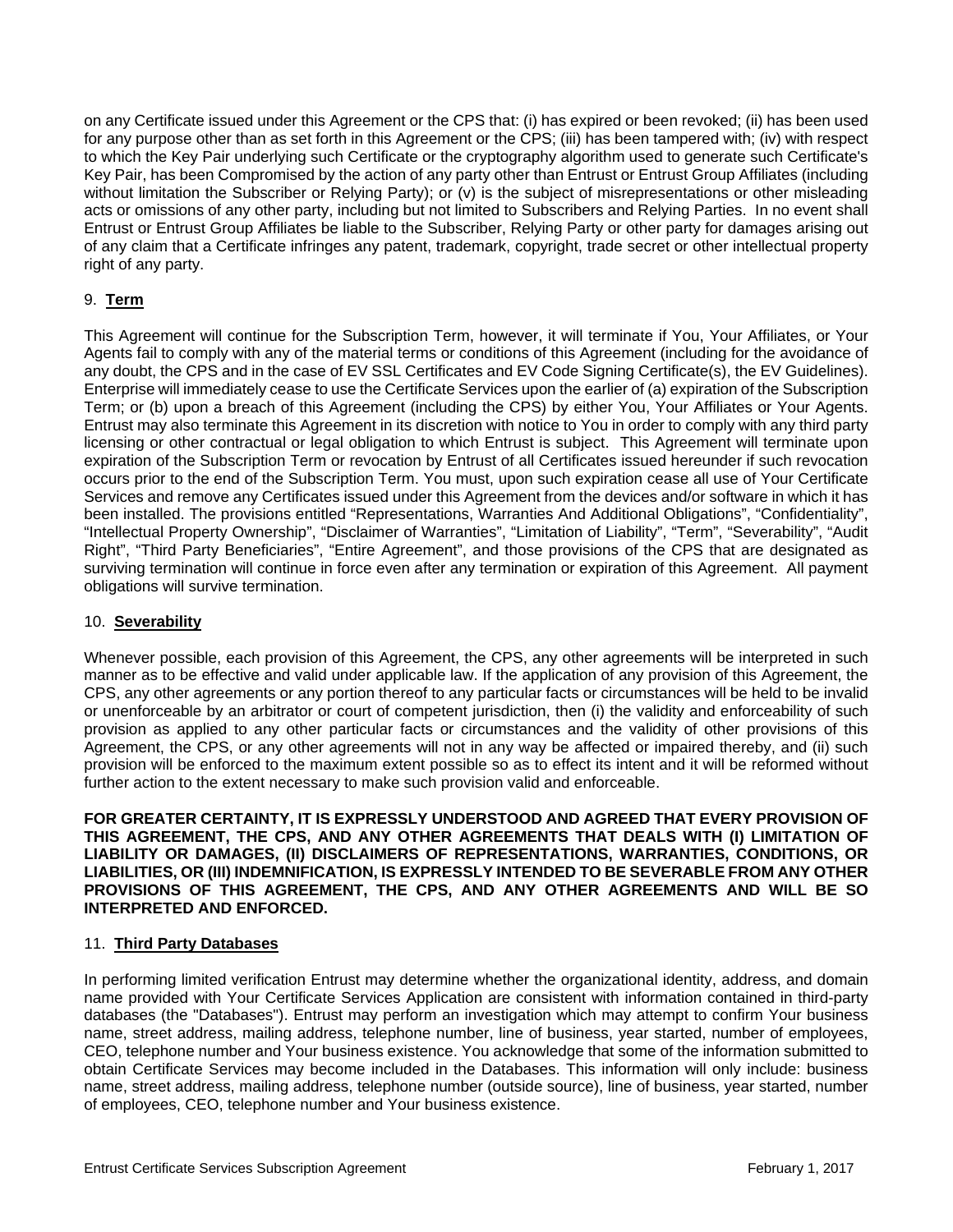on any Certificate issued under this Agreement or the CPS that: (i) has expired or been revoked; (ii) has been used for any purpose other than as set forth in this Agreement or the CPS; (iii) has been tampered with; (iv) with respect to which the Key Pair underlying such Certificate or the cryptography algorithm used to generate such Certificate's Key Pair, has been Compromised by the action of any party other than Entrust or Entrust Group Affiliates (including without limitation the Subscriber or Relying Party); or (v) is the subject of misrepresentations or other misleading acts or omissions of any other party, including but not limited to Subscribers and Relying Parties. In no event shall Entrust or Entrust Group Affiliates be liable to the Subscriber, Relying Party or other party for damages arising out of any claim that a Certificate infringes any patent, trademark, copyright, trade secret or other intellectual property right of any party.

## 9. **Term**

This Agreement will continue for the Subscription Term, however, it will terminate if You, Your Affiliates, or Your Agents fail to comply with any of the material terms or conditions of this Agreement (including for the avoidance of any doubt, the CPS and in the case of EV SSL Certificates and EV Code Signing Certificate(s), the EV Guidelines). Enterprise will immediately cease to use the Certificate Services upon the earlier of (a) expiration of the Subscription Term; or (b) upon a breach of this Agreement (including the CPS) by either You, Your Affiliates or Your Agents. Entrust may also terminate this Agreement in its discretion with notice to You in order to comply with any third party licensing or other contractual or legal obligation to which Entrust is subject. This Agreement will terminate upon expiration of the Subscription Term or revocation by Entrust of all Certificates issued hereunder if such revocation occurs prior to the end of the Subscription Term. You must, upon such expiration cease all use of Your Certificate Services and remove any Certificates issued under this Agreement from the devices and/or software in which it has been installed. The provisions entitled "Representations, Warranties And Additional Obligations", "Confidentiality", "Intellectual Property Ownership", "Disclaimer of Warranties", "Limitation of Liability", "Term", "Severability", "Audit Right", "Third Party Beneficiaries", "Entire Agreement", and those provisions of the CPS that are designated as surviving termination will continue in force even after any termination or expiration of this Agreement. All payment obligations will survive termination.

## 10. **Severability**

Whenever possible, each provision of this Agreement, the CPS, any other agreements will be interpreted in such manner as to be effective and valid under applicable law. If the application of any provision of this Agreement, the CPS, any other agreements or any portion thereof to any particular facts or circumstances will be held to be invalid or unenforceable by an arbitrator or court of competent jurisdiction, then (i) the validity and enforceability of such provision as applied to any other particular facts or circumstances and the validity of other provisions of this Agreement, the CPS, or any other agreements will not in any way be affected or impaired thereby, and (ii) such provision will be enforced to the maximum extent possible so as to effect its intent and it will be reformed without further action to the extent necessary to make such provision valid and enforceable.

**FOR GREATER CERTAINTY, IT IS EXPRESSLY UNDERSTOOD AND AGREED THAT EVERY PROVISION OF THIS AGREEMENT, THE CPS, AND ANY OTHER AGREEMENTS THAT DEALS WITH (I) LIMITATION OF LIABILITY OR DAMAGES, (II) DISCLAIMERS OF REPRESENTATIONS, WARRANTIES, CONDITIONS, OR LIABILITIES, OR (III) INDEMNIFICATION, IS EXPRESSLY INTENDED TO BE SEVERABLE FROM ANY OTHER PROVISIONS OF THIS AGREEMENT, THE CPS, AND ANY OTHER AGREEMENTS AND WILL BE SO INTERPRETED AND ENFORCED.** 

## 11. **Third Party Databases**

In performing limited verification Entrust may determine whether the organizational identity, address, and domain name provided with Your Certificate Services Application are consistent with information contained in third-party databases (the "Databases"). Entrust may perform an investigation which may attempt to confirm Your business name, street address, mailing address, telephone number, line of business, year started, number of employees, CEO, telephone number and Your business existence. You acknowledge that some of the information submitted to obtain Certificate Services may become included in the Databases. This information will only include: business name, street address, mailing address, telephone number (outside source), line of business, year started, number of employees, CEO, telephone number and Your business existence.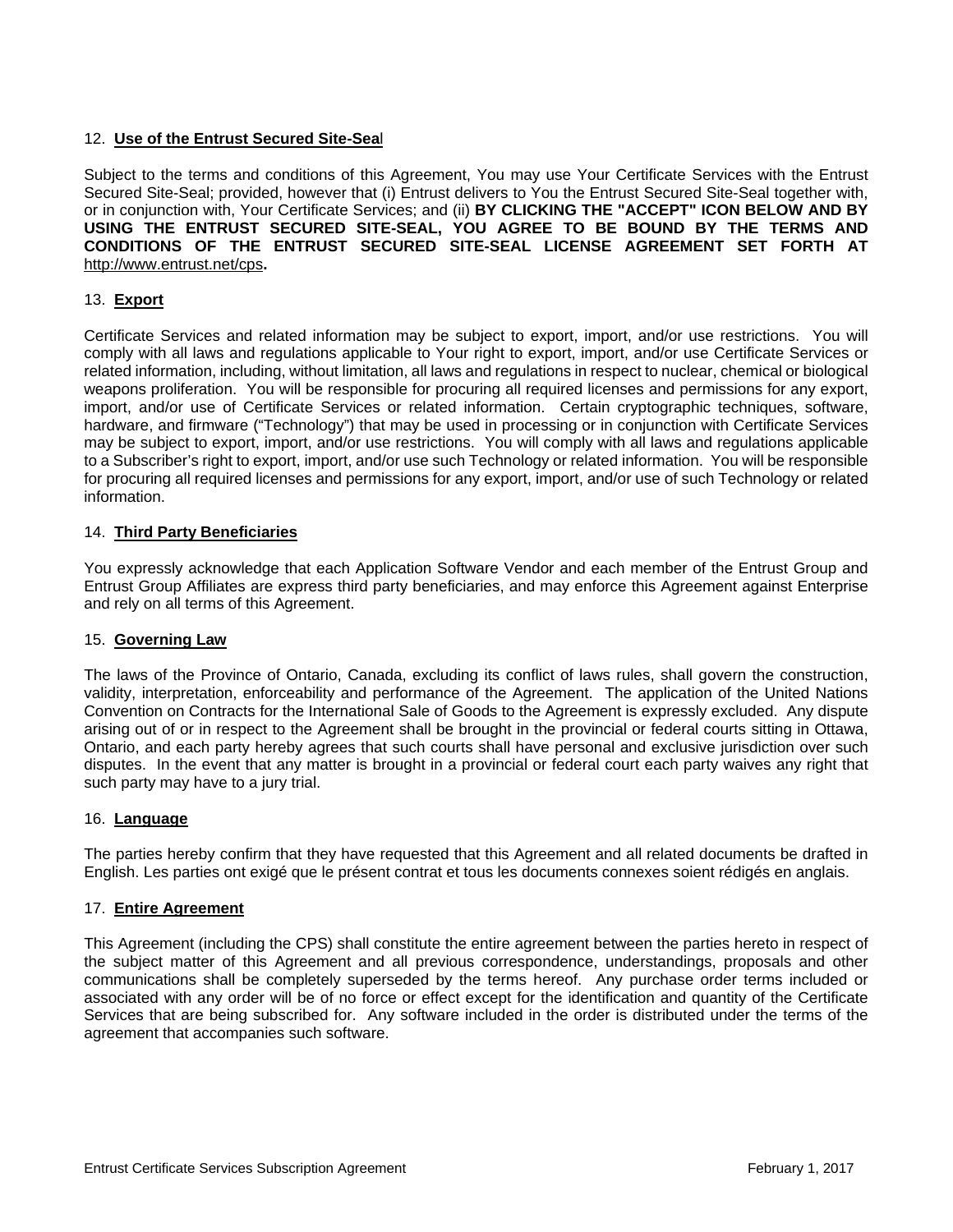## 12. **Use of the Entrust Secured Site-Sea**l

Subject to the terms and conditions of this Agreement, You may use Your Certificate Services with the Entrust Secured Site-Seal; provided, however that (i) Entrust delivers to You the Entrust Secured Site-Seal together with, or in conjunction with, Your Certificate Services; and (ii) **BY CLICKING THE "ACCEPT" ICON BELOW AND BY USING THE ENTRUST SECURED SITE-SEAL, YOU AGREE TO BE BOUND BY THE TERMS AND CONDITIONS OF THE ENTRUST SECURED SITE-SEAL LICENSE AGREEMENT SET FORTH AT**  http://www.entrust.net/cps**.**

## 13. **Export**

Certificate Services and related information may be subject to export, import, and/or use restrictions. You will comply with all laws and regulations applicable to Your right to export, import, and/or use Certificate Services or related information, including, without limitation, all laws and regulations in respect to nuclear, chemical or biological weapons proliferation. You will be responsible for procuring all required licenses and permissions for any export, import, and/or use of Certificate Services or related information. Certain cryptographic techniques, software, hardware, and firmware ("Technology") that may be used in processing or in conjunction with Certificate Services may be subject to export, import, and/or use restrictions. You will comply with all laws and regulations applicable to a Subscriber's right to export, import, and/or use such Technology or related information. You will be responsible for procuring all required licenses and permissions for any export, import, and/or use of such Technology or related information.

#### 14. **Third Party Beneficiaries**

You expressly acknowledge that each Application Software Vendor and each member of the Entrust Group and Entrust Group Affiliates are express third party beneficiaries, and may enforce this Agreement against Enterprise and rely on all terms of this Agreement.

#### 15. **Governing Law**

The laws of the Province of Ontario, Canada, excluding its conflict of laws rules, shall govern the construction, validity, interpretation, enforceability and performance of the Agreement. The application of the United Nations Convention on Contracts for the International Sale of Goods to the Agreement is expressly excluded. Any dispute arising out of or in respect to the Agreement shall be brought in the provincial or federal courts sitting in Ottawa, Ontario, and each party hereby agrees that such courts shall have personal and exclusive jurisdiction over such disputes. In the event that any matter is brought in a provincial or federal court each party waives any right that such party may have to a jury trial.

#### 16. **Language**

The parties hereby confirm that they have requested that this Agreement and all related documents be drafted in English. Les parties ont exigé que le présent contrat et tous les documents connexes soient rédigés en anglais.

#### 17. **Entire Agreement**

This Agreement (including the CPS) shall constitute the entire agreement between the parties hereto in respect of the subject matter of this Agreement and all previous correspondence, understandings, proposals and other communications shall be completely superseded by the terms hereof. Any purchase order terms included or associated with any order will be of no force or effect except for the identification and quantity of the Certificate Services that are being subscribed for. Any software included in the order is distributed under the terms of the agreement that accompanies such software.